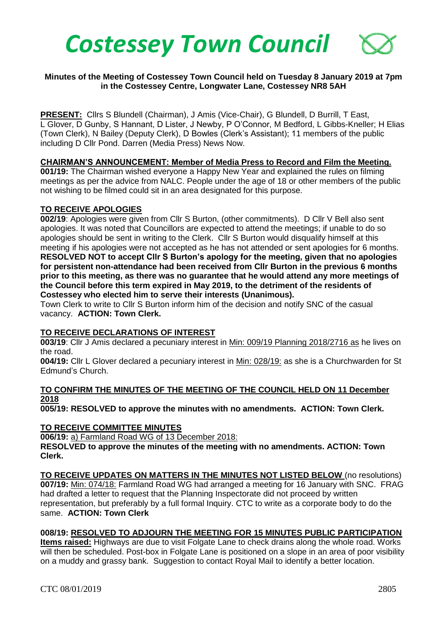

# **Minutes of the Meeting of Costessey Town Council held on Tuesday 8 January 2019 at 7pm in the Costessey Centre, Longwater Lane, Costessey NR8 5AH**

**PRESENT:** Cllrs S Blundell (Chairman), J Amis (Vice-Chair), G Blundell, D Burrill, T East, L Glover, D Gunby, S Hannant, D Lister, J Newby, P O'Connor, M Bedford, L Gibbs-Kneller; H Elias (Town Clerk), N Bailey (Deputy Clerk), D Bowles (Clerk's Assistant); 11 members of the public including D Cllr Pond. Darren (Media Press) News Now.

# **CHAIRMAN'S ANNOUNCEMENT: Member of Media Press to Record and Film the Meeting.**

**001/19:** The Chairman wished everyone a Happy New Year and explained the rules on filming meetings as per the advice from NALC. People under the age of 18 or other members of the public not wishing to be filmed could sit in an area designated for this purpose.

#### **TO RECEIVE APOLOGIES**

**002/19**: Apologies were given from Cllr S Burton, (other commitments). D Cllr V Bell also sent apologies. It was noted that Councillors are expected to attend the meetings; if unable to do so apologies should be sent in writing to the Clerk. Cllr S Burton would disqualify himself at this meeting if his apologies were not accepted as he has not attended or sent apologies for 6 months. **RESOLVED NOT to accept Cllr S Burton's apology for the meeting, given that no apologies for persistent non-attendance had been received from Cllr Burton in the previous 6 months prior to this meeting, as there was no guarantee that he would attend any more meetings of the Council before this term expired in May 2019, to the detriment of the residents of Costessey who elected him to serve their interests (Unanimous).** 

Town Clerk to write to Cllr S Burton inform him of the decision and notify SNC of the casual vacancy. **ACTION: Town Clerk.**

# **TO RECEIVE DECLARATIONS OF INTEREST**

**003/19**: Cllr J Amis declared a pecuniary interest in Min: 009/19 Planning 2018/2716 as he lives on the road.

**004/19:** Cllr L Glover declared a pecuniary interest in Min: 028/19: as she is a Churchwarden for St Edmund's Church.

# **TO CONFIRM THE MINUTES OF THE MEETING OF THE COUNCIL HELD ON 11 December 2018**

**005/19: RESOLVED to approve the minutes with no amendments. ACTION: Town Clerk.**

# **TO RECEIVE COMMITTEE MINUTES**

**006/19:** a) Farmland Road WG of 13 December 2018:

**RESOLVED to approve the minutes of the meeting with no amendments. ACTION: Town Clerk.**

**TO RECEIVE UPDATES ON MATTERS IN THE MINUTES NOT LISTED BELOW** (no resolutions) **007/19:** Min: 074/18: Farmland Road WG had arranged a meeting for 16 January with SNC. FRAG had drafted a letter to request that the Planning Inspectorate did not proceed by written representation, but preferably by a full formal Inquiry. CTC to write as a corporate body to do the same. **ACTION: Town Clerk**

# **008/19: RESOLVED TO ADJOURN THE MEETING FOR 15 MINUTES PUBLIC PARTICIPATION**

**Items raised:** Highways are due to visit Folgate Lane to check drains along the whole road. Works will then be scheduled. Post-box in Folgate Lane is positioned on a slope in an area of poor visibility on a muddy and grassy bank. Suggestion to contact Royal Mail to identify a better location.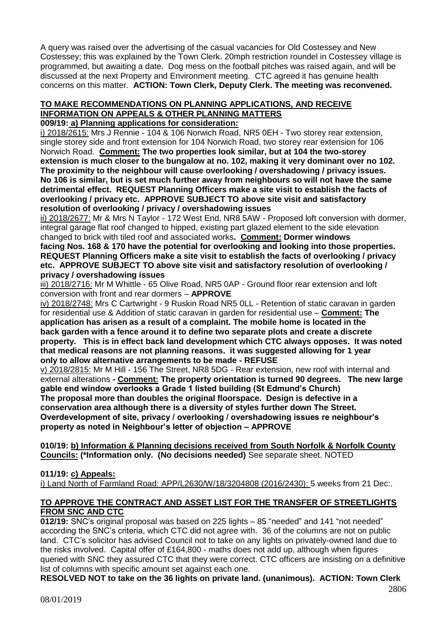A query was raised over the advertising of the casual vacancies for Old Costessey and New Costessey; this was explained by the Town Clerk. 20mph restriction roundel in Costessey village is programmed, but awaiting a date. Dog mess on the football pitches was raised again, and will be discussed at the next Property and Environment meeting. CTC agreed it has genuine health concerns on this matter. **ACTION: Town Clerk, Deputy Clerk. The meeting was reconvened.**

# **TO MAKE RECOMMENDATIONS ON PLANNING APPLICATIONS, AND RECEIVE INFORMATION ON APPEALS & OTHER PLANNING MATTERS**

**009/19: a) Planning applications for consideration:**

i) 2018/2615: Mrs J Rennie - 104 & 106 Norwich Road, NR5 0EH - Two storey rear extension, single storey side and front extension for 104 Norwich Road, two storey rear extension for 106 Norwich Road. **Comment: The two properties look similar, but at 104 the two-storey extension is much closer to the bungalow at no. 102, making it very dominant over no 102. The proximity to the neighbour will cause overlooking / overshadowing / privacy issues. No 106 is similar, but is set much further away from neighbours so will not have the same detrimental effect. REQUEST Planning Officers make a site visit to establish the facts of overlooking / privacy etc. APPROVE SUBJECT TO above site visit and satisfactory resolution of overlooking / privacy / overshadowing issues**

ii) 2018/2677: Mr & Mrs N Taylor - 172 West End, NR8 5AW - Proposed loft conversion with dormer, integral garage flat roof changed to hipped, existing part glazed element to the side elevation changed to brick with tiled roof and associated works**. Comment: Dormer windows** 

**facing Nos. 168 & 170 have the potential for overlooking and looking into those properties. REQUEST Planning Officers make a site visit to establish the facts of overlooking / privacy etc. APPROVE SUBJECT TO above site visit and satisfactory resolution of overlooking / privacy / overshadowing issues**

iii) 2018/2716: Mr M Whittle - 65 Olive Road, NR5 0AP - Ground floor rear extension and loft conversion with front and rear dormers – **APPROVE**

iv) 2018/2748: Mrs C Cartwright - 9 Ruskin Road NR5 0LL - Retention of static caravan in garden for residential use & Addition of static caravan in garden for residential use – **Comment: The application has arisen as a result of a complaint. The mobile home is located in the back garden with a fence around it to define two separate plots and create a discrete property. This is in effect back land development which CTC always opposes. It was noted that medical reasons are not planning reasons. it was suggested allowing for 1 year only to allow alternative arrangements to be made - REFUSE**

v) 2018/2815: Mr M Hill - 156 The Street, NR8 5DG - Rear extension, new roof with internal and external alterations **- Comment: The property orientation is turned 90 degrees. The new large gable end window overlooks a Grade 1 listed building (St Edmund's Church) The proposal more than doubles the original floorspace. Design is defective in a conservation area although there is a diversity of styles further down The Street. Overdevelopment of site, privacy / overlooking / overshadowing issues re neighbour's property as noted in Neighbour's letter of objection – APPROVE**

**010/19: b) Information & Planning decisions received from South Norfolk & Norfolk County Councils: (\*Information only. (No decisions needed)** See separate sheet. NOTED

# **011/19: c) Appeals:**

i) Land North of Farmland Road: APP/L2630/W/18/3204808 (2016/2430): 5 weeks from 21 Dec:.

# **TO APPROVE THE CONTRACT AND ASSET LIST FOR THE TRANSFER OF STREETLIGHTS FROM SNC AND CTC**

**012/19:** SNC's original proposal was based on 225 lights – 85 "needed" and 141 "not needed" according the SNC's criteria, which CTC did not agree with. 36 of the columns are not on public land. CTC's solicitor has advised Council not to take on any lights on privately-owned land due to the risks involved. Capital offer of £164,800 - maths does not add up, although when figures queried with SNC they assured CTC that they were correct. CTC officers are insisting on a definitive list of columns with specific amount set against each one.

**RESOLVED NOT to take on the 36 lights on private land. (unanimous). ACTION: Town Clerk**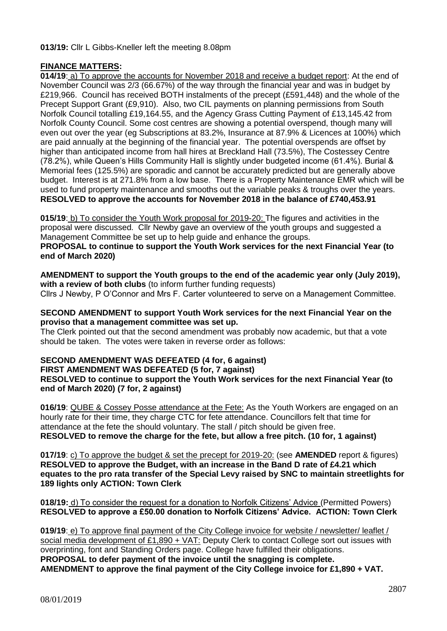# **013/19:** Cllr L Gibbs-Kneller left the meeting 8.08pm

# **FINANCE MATTERS:**

**014/19**: a) To approve the accounts for November 2018 and receive a budget report: At the end of November Council was 2/3 (66.67%) of the way through the financial year and was in budget by £219,966. Council has received BOTH instalments of the precept (£591,448) and the whole of the Precept Support Grant (£9,910). Also, two CIL payments on planning permissions from South Norfolk Council totalling £19,164.55, and the Agency Grass Cutting Payment of £13,145.42 from Norfolk County Council. Some cost centres are showing a potential overspend, though many will even out over the year (eg Subscriptions at 83.2%, Insurance at 87.9% & Licences at 100%) which are paid annually at the beginning of the financial year. The potential overspends are offset by higher than anticipated income from hall hires at Breckland Hall (73.5%), The Costessey Centre (78.2%), while Queen's Hills Community Hall is slightly under budgeted income (61.4%). Burial & Memorial fees (125.5%) are sporadic and cannot be accurately predicted but are generally above budget. Interest is at 271.8% from a low base. There is a Property Maintenance EMR which will be used to fund property maintenance and smooths out the variable peaks & troughs over the years. **RESOLVED to approve the accounts for November 2018 in the balance of £740,453.91**

**015/19**: b) To consider the Youth Work proposal for 2019-20: The figures and activities in the proposal were discussed. Cllr Newby gave an overview of the youth groups and suggested a Management Committee be set up to help guide and enhance the groups.

**PROPOSAL to continue to support the Youth Work services for the next Financial Year (to end of March 2020)**

**AMENDMENT to support the Youth groups to the end of the academic year only (July 2019),** with a review of both clubs (to inform further funding requests)

Cllrs J Newby, P O'Connor and Mrs F. Carter volunteered to serve on a Management Committee.

#### **SECOND AMENDMENT to support Youth Work services for the next Financial Year on the proviso that a management committee was set up.**

The Clerk pointed out that the second amendment was probably now academic, but that a vote should be taken. The votes were taken in reverse order as follows:

#### **SECOND AMENDMENT WAS DEFEATED (4 for, 6 against) FIRST AMENDMENT WAS DEFEATED (5 for, 7 against) RESOLVED to continue to support the Youth Work services for the next Financial Year (to end of March 2020) (7 for, 2 against)**

**016/19**: QUBE & Cossey Posse attendance at the Fete: As the Youth Workers are engaged on an hourly rate for their time, they charge CTC for fete attendance. Councillors felt that time for attendance at the fete the should voluntary. The stall / pitch should be given free.

**RESOLVED to remove the charge for the fete, but allow a free pitch. (10 for, 1 against)**

**017/19**: c) To approve the budget & set the precept for 2019-20: (see **AMENDED** report & figures) **RESOLVED to approve the Budget, with an increase in the Band D rate of £4.21 which equates to the pro rata transfer of the Special Levy raised by SNC to maintain streetlights for 189 lights only ACTION: Town Clerk**

**018/19:** d) To consider the request for a donation to Norfolk Citizens' Advice (Permitted Powers) **RESOLVED to approve a £50.00 donation to Norfolk Citizens' Advice. ACTION: Town Clerk**

**019/19**: e) To approve final payment of the City College invoice for website / newsletter/ leaflet / social media development of £1,890 + VAT: Deputy Clerk to contact College sort out issues with overprinting, font and Standing Orders page. College have fulfilled their obligations. **PROPOSAL to defer payment of the invoice until the snagging is complete. AMENDMENT to approve the final payment of the City College invoice for £1,890 + VAT.**